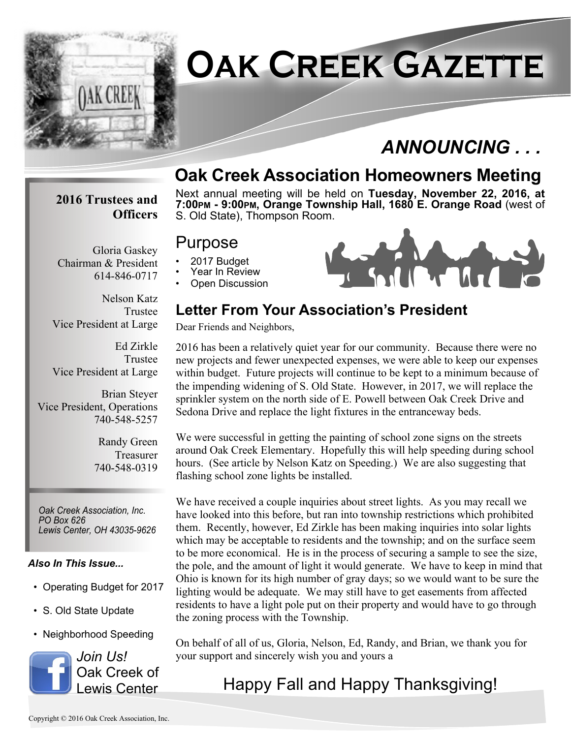

# **Oak Creek Gazette**

## *ANNOUNCING . . .*

## **Oak Creek Association Homeowners Meeting**

#### **2016 Trustees and Officers**

Next annual meeting will be held on **Tuesday, November 22, 2016, at 7:00PM - 9:00PM, Orange Township Hall, 1680 E. Orange Road** (west of S. Old State), Thompson Room.

#### Purpose

- 2017 Budget
- Year In Review
- Open Discussion



#### **Letter From Your Association's President**

Dear Friends and Neighbors,

2016 has been a relatively quiet year for our community. Because there were no new projects and fewer unexpected expenses, we were able to keep our expenses within budget. Future projects will continue to be kept to a minimum because of the impending widening of S. Old State. However, in 2017, we will replace the sprinkler system on the north side of E. Powell between Oak Creek Drive and Sedona Drive and replace the light fixtures in the entranceway beds.

We were successful in getting the painting of school zone signs on the streets around Oak Creek Elementary. Hopefully this will help speeding during school hours. (See article by Nelson Katz on Speeding.) We are also suggesting that flashing school zone lights be installed.

We have received a couple inquiries about street lights. As you may recall we have looked into this before, but ran into township restrictions which prohibited them. Recently, however, Ed Zirkle has been making inquiries into solar lights which may be acceptable to residents and the township; and on the surface seem to be more economical. He is in the process of securing a sample to see the size, the pole, and the amount of light it would generate. We have to keep in mind that Ohio is known for its high number of gray days; so we would want to be sure the lighting would be adequate. We may still have to get easements from affected residents to have a light pole put on their property and would have to go through the zoning process with the Township.

On behalf of all of us, Gloria, Nelson, Ed, Randy, and Brian, we thank you for your support and sincerely wish you and yours a

## Happy Fall and Happy Thanksgiving!

Gloria Gaskey Chairman & President 614-846-0717

Nelson Katz Trustee Vice President at Large

Ed Zirkle Trustee Vice President at Large

Brian Steyer Vice President, Operations 740-548-5257

> Randy Green Treasurer 740-548-0319

*Oak Creek Association, Inc. PO Box 626 Lewis Center, OH 43035-9626*

#### *Also In This Issue...*

- Operating Budget for 2017
- S. Old State Update
- Neighborhood Speeding

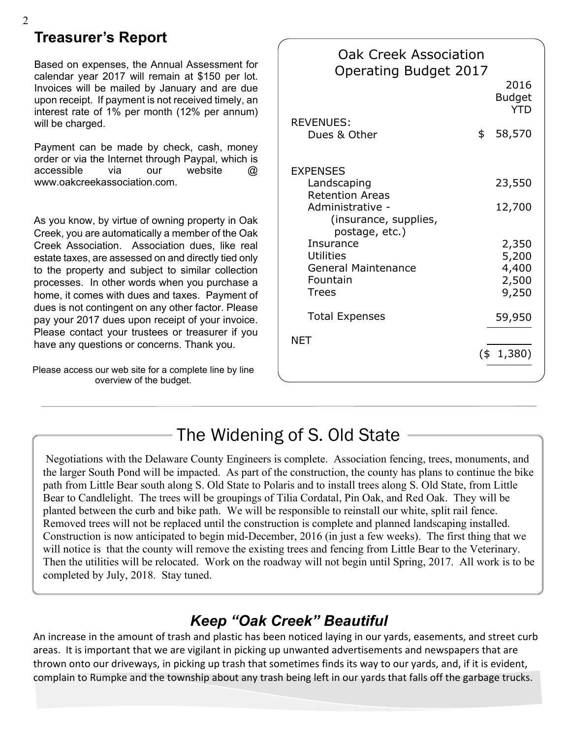#### **Treasurer's Report**

Based on expenses, the Annual Assessment for calendar year 2017 will remain at \$150 per lot. Invoices will be mailed by January and are due upon receipt. If payment is not received timely, an interest rate of 1% per month (12% per annum) will be charged.

Payment can be made by check, cash, money order or via the Internet through Paypal, which is accessible via our website @ www.oakcreekassociation.com.

As you know, by virtue of owning property in Oak Creek, you are automatically a member of the Oak Creek Association. Association dues, like real estate taxes, are assessed on and directly tied only to the property and subject to similar collection processes. In other words when you purchase a home, it comes with dues and taxes. Payment of dues is not contingent on any other factor. Please pay your 2017 dues upon receipt of your invoice. Please contact your trustees or treasurer if you have any questions or concerns. Thank you.

Please access our web site for a complete line by line overview of the budget.

| <b>Oak Creek Association</b><br><b>Operating Budget 2017</b>                                                                                                                                                       |     |                                           |
|--------------------------------------------------------------------------------------------------------------------------------------------------------------------------------------------------------------------|-----|-------------------------------------------|
|                                                                                                                                                                                                                    |     | 2016<br><b>Budget</b><br><b>YTD</b>       |
| <b>REVENUES:</b><br>Dues & Other                                                                                                                                                                                   | \$  | 58,570                                    |
| <b>EXPENSES</b><br>Landscaping<br><b>Retention Areas</b><br>Administrative -<br>(insurance, supplies,<br>postage, etc.)<br>Insurance<br><b>Utilities</b><br><b>General Maintenance</b><br>Fountain<br><b>Trees</b> |     | 23,550                                    |
|                                                                                                                                                                                                                    |     | 12,700                                    |
|                                                                                                                                                                                                                    |     | 2,350<br>5,200<br>4,400<br>2,500<br>9,250 |
| <b>Total Expenses</b>                                                                                                                                                                                              |     | 59,950                                    |
| NET                                                                                                                                                                                                                | (\$ | 1,380)                                    |

## The Widening of S. Old State

 Negotiations with the Delaware County Engineers is complete. Association fencing, trees, monuments, and the larger South Pond will be impacted. As part of the construction, the county has plans to continue the bike path from Little Bear south along S. Old State to Polaris and to install trees along S. Old State, from Little Bear to Candlelight. The trees will be groupings of Tilia Cordatal, Pin Oak, and Red Oak. They will be planted between the curb and bike path. We will be responsible to reinstall our white, split rail fence. Removed trees will not be replaced until the construction is complete and planned landscaping installed. Construction is now anticipated to begin mid-December, 2016 (in just a few weeks). The first thing that we will notice is that the county will remove the existing trees and fencing from Little Bear to the Veterinary. Then the utilities will be relocated. Work on the roadway will not begin until Spring, 2017. All work is to be completed by July, 2018. Stay tuned.

#### *Keep "Oak Creek" Beautiful*

An increase in the amount of trash and plastic has been noticed laying in our yards, easements, and street curb areas. It is important that we are vigilant in picking up unwanted advertisements and newspapers that are thrown onto our driveways, in picking up trash that sometimes finds its way to our yards, and, if it is evident, complain to Rumpke and the township about any trash being left in our yards that falls off the garbage trucks.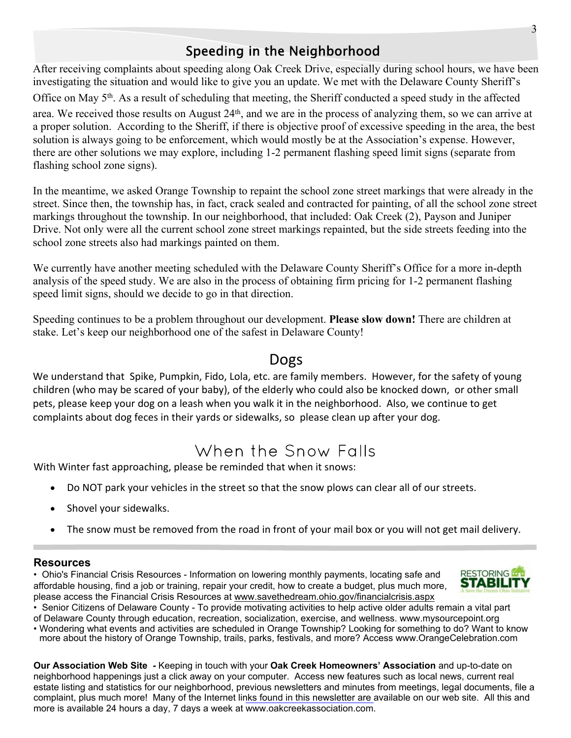#### Speeding in the Neighborhood

After receiving complaints about speeding along Oak Creek Drive, especially during school hours, we have been investigating the situation and would like to give you an update. We met with the Delaware County Sheriff's Office on May 5th. As a result of scheduling that meeting, the Sheriff conducted a speed study in the affected area. We received those results on August 24th, and we are in the process of analyzing them, so we can arrive at a proper solution. According to the Sheriff, if there is objective proof of excessive speeding in the area, the best solution is always going to be enforcement, which would mostly be at the Association's expense. However, there are other solutions we may explore, including 1-2 permanent flashing speed limit signs (separate from flashing school zone signs).

In the meantime, we asked Orange Township to repaint the school zone street markings that were already in the street. Since then, the township has, in fact, crack sealed and contracted for painting, of all the school zone street markings throughout the township. In our neighborhood, that included: Oak Creek (2), Payson and Juniper Drive. Not only were all the current school zone street markings repainted, but the side streets feeding into the school zone streets also had markings painted on them.

We currently have another meeting scheduled with the Delaware County Sheriff's Office for a more in-depth analysis of the speed study. We are also in the process of obtaining firm pricing for 1-2 permanent flashing speed limit signs, should we decide to go in that direction.

Speeding continues to be a problem throughout our development. **Please slow down!** There are children at stake. Let's keep our neighborhood one of the safest in Delaware County!

#### Dogs

We understand that Spike, Pumpkin, Fido, Lola, etc. are family members. However, for the safety of young children (who may be scared of your baby), of the elderly who could also be knocked down, or other small pets, please keep your dog on a leash when you walk it in the neighborhood. Also, we continue to get complaints about dog feces in their yards or sidewalks, so please clean up after your dog.

## When the Snow Falls

With Winter fast approaching, please be reminded that when it snows:

- · Do NOT park your vehicles in the street so that the snow plows can clear all of our streets.
- · Shovel your sidewalks.
- The snow must be removed from the road in front of your mail box or you will not get mail delivery.

#### **Resources**

• Ohio's Financial Crisis Resources - Information on lowering monthly payments, locating safe and affordable housing, find a job or training, repair your credit, how to create a budget, plus much more, please access the Financial Crisis Resources at www.savethedream.ohio.gov/financialcrisis.aspx



• Senior Citizens of Delaware County - To provide motivating activities to help active older adults remain a vital part of Delaware County through education, recreation, socialization, exercise, and wellness. www.mysourcepoint.org

• Wondering what events and activities are scheduled in Orange Township? Looking for something to do? Want to know more about the history of Orange Township, trails, parks, festivals, and more? Access www.OrangeCelebration.com

**Our Association Web Site** *-* Keeping in touch with your **Oak Creek Homeowners' Association** and up-to-date on neighborhood happenings just a click away on your computer. Access new features such as local news, current real estate listing and statistics for our neighborhood, previous newsletters and minutes from meetings, legal documents, file a complaint, plus much more! Many of the Internet links found in this newsletter are available on our web site. All this and more is available 24 hours a day, 7 days a week at www.oakcreekassociation.com.